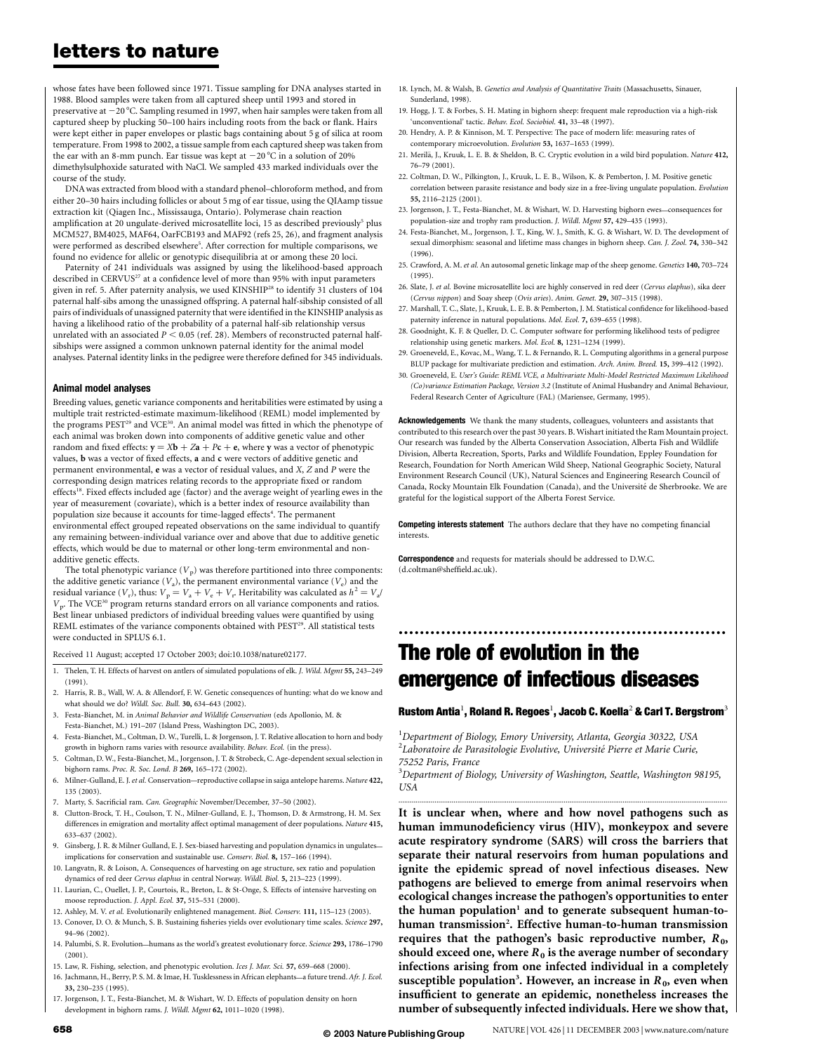## letters to nature

whose fates have been followed since 1971. Tissue sampling for DNA analyses started in 1988. Blood samples were taken from all captured sheep until 1993 and stored in preservative at  $-20$  °C. Sampling resumed in 1997, when hair samples were taken from all captured sheep by plucking 50–100 hairs including roots from the back or flank. Hairs were kept either in paper envelopes or plastic bags containing about 5 g of silica at room temperature. From 1998 to 2002, a tissue sample from each captured sheep was taken from the ear with an 8-mm punch. Ear tissue was kept at  $-20^{\circ}$ C in a solution of 20% dimethylsulphoxide saturated with NaCl. We sampled 433 marked individuals over the course of the study.

DNA was extracted from blood with a standard phenol–chloroform method, and from either 20–30 hairs including follicles or about 5 mg of ear tissue, using the QIAamp tissue extraction kit (Qiagen Inc., Mississauga, Ontario). Polymerase chain reaction amplification at 20 ungulate-derived microsatellite loci, 15 as described previously<sup>5</sup> plus MCM527, BM4025, MAF64, OarFCB193 and MAF92 (refs 25, 26), and fragment analysis were performed as described elsewhere<sup>5</sup>. After correction for multiple comparisons, we found no evidence for allelic or genotypic disequilibria at or among these 20 loci.

Paternity of 241 individuals was assigned by using the likelihood-based approach described in CERVUS<sup>27</sup> at a confidence level of more than 95% with input parameters given in ref. 5. After paternity analysis, we used KINSHIP<sup>28</sup> to identify 31 clusters of 104 paternal half-sibs among the unassigned offspring. A paternal half-sibship consisted of all pairs of individuals of unassigned paternity that were identified in the KINSHIP analysis as having a likelihood ratio of the probability of a paternal half-sib relationship versus unrelated with an associated  $P < 0.05$  (ref. 28). Members of reconstructed paternal halfsibships were assigned a common unknown paternal identity for the animal model analyses. Paternal identity links in the pedigree were therefore defined for 345 individuals.

#### Animal model analyses

Breeding values, genetic variance components and heritabilities were estimated by using a multiple trait restricted-estimate maximum-likelihood (REML) model implemented by the programs PEST<sup>29</sup> and VCE<sup>30</sup>. An animal model was fitted in which the phenotype of each animal was broken down into components of additive genetic value and other random and fixed effects:  $\mathbf{v} = X\mathbf{b} + Z\mathbf{a} + P\mathbf{c} + \mathbf{e}$ , where **y** was a vector of phenotypic values, b was a vector of fixed effects, a and c were vectors of additive genetic and permanent environmental, e was a vector of residual values, and X, Z and P were the corresponding design matrices relating records to the appropriate fixed or random effects<sup>18</sup>. Fixed effects included age (factor) and the average weight of yearling ewes in the year of measurement (covariate), which is a better index of resource availability than population size because it accounts for time-lagged effects<sup>4</sup>. The permanent environmental effect grouped repeated observations on the same individual to quantify any remaining between-individual variance over and above that due to additive genetic effects, which would be due to maternal or other long-term environmental and nonadditive genetic effects.

The total phenotypic variance  $(V_p)$  was therefore partitioned into three components: the additive genetic variance  $(V_a)$ , the permanent environmental variance  $(V_e)$  and the residual variance  $(V_r)$ , thus:  $V_p = V_a + V_e + V_r$ . Heritability was calculated as  $h^2 = V_a/v$  $V<sub>m</sub>$ . The VCE<sup>30</sup> program returns standard errors on all variance components and ratios. Best linear unbiased predictors of individual breeding values were quantified by using REML estimates of the variance components obtained with PEST<sup>29</sup>. All statistical tests were conducted in SPLUS 6.1.

Received 11 August; accepted 17 October 2003; doi:10.1038/nature02177.

- 1. Thelen, T. H. Effects of harvest on antlers of simulated populations of elk. J. Wild. Mgmt 55, 243–249 (1991).
- 2. Harris, R. B., Wall, W. A. & Allendorf, F. W. Genetic consequences of hunting: what do we know and what should we do? Wildl. Soc. Bull. 30, 634-643 (2002).
- 3. Festa-Bianchet, M. in Animal Behavior and Wildlife Conservation (eds Apollonio, M. & Festa-Bianchet, M.) 191–207 (Island Press, Washington DC, 2003).
- 4. Festa-Bianchet, M., Coltman, D. W., Turelli, L. & Jorgenson, J. T. Relative allocation to horn and body
- growth in bighorn rams varies with resource availability. Behav. Ecol. (in the press). 5. Coltman, D. W., Festa-Bianchet, M., Jorgenson, J. T. & Strobeck, C. Age-dependent sexual selection in
- bighorn rams. Proc. R. Soc. Lond. B 269, 165–172 (2002).
- 6. Milner-Gulland, E. J.et al. Conservation—reproductive collapse in saiga antelope harems. Nature 422, 135 (2003).
- 7. Marty, S. Sacrificial ram. Can. Geographic November/December, 37–50 (2002).
- 8. Clutton-Brock, T. H., Coulson, T. N., Milner-Gulland, E. J., Thomson, D. & Armstrong, H. M. Sex differences in emigration and mortality affect optimal management of deer populations. Nature 415, 633–637 (2002).
- 9. Ginsberg, J. R. & Milner Gulland, E. J. Sex-biased harvesting and population dynamics in ungulates implications for conservation and sustainable use. Conserv. Biol. 8, 157–166 (1994).
- 10. Langvatn, R. & Loison, A. Consequences of harvesting on age structure, sex ratio and population dynamics of red deer Cervus elaphus in central Norway. Wildl. Biol. 5, 213–223 (1999).
- 11. Laurian, C., Ouellet, J. P., Courtois, R., Breton, L. & St-Onge, S. Effects of intensive harvesting on moose reproduction. J. Appl. Ecol. 37, 515–531 (2000).
- 12. Ashley, M. V. et al. Evolutionarily enlightened management. Biol. Conserv. 111, 115–123 (2003).
- 13. Conover, D. O. & Munch, S. B. Sustaining fisheries yields over evolutionary time scales. Science 297, 94–96 (2002).
- 14. Palumbi, S. R. Evolution—humans as the world's greatest evolutionary force. Science 293, 1786–1790 (2001).
- 15. Law, R. Fishing, selection, and phenotypic evolution. Ices J. Mar. Sci. 57, 659–668 (2000).
- 16. Jachmann, H., Berry, P. S. M. & Imae, H. Tusklessness in African elephants—a future trend. Afr. J. Ecol. 33, 230–235 (1995).
- 17. Jorgenson, J. T., Festa-Bianchet, M. & Wishart, W. D. Effects of population density on horn development in bighorn rams. J. Wildl. Mgmt 62, 1011–1020 (1998).
- 18. Lynch, M. & Walsh, B. Genetics and Analysis of Quantitative Traits (Massachusetts, Sinauer, Sunderland, 1998).
- 19. Hogg, J. T. & Forbes, S. H. Mating in bighorn sheep: frequent male reproduction via a high-risk 'unconventional' tactic. Behav. Ecol. Sociobiol. 41, 33-48 (1997).
- 20. Hendry, A. P. & Kinnison, M. T. Perspective: The pace of modern life: measuring rates of contemporary microevolution. Evolution 53, 1637–1653 (1999).
- 21. Merilä, J., Kruuk, L. E. B. & Sheldon, B. C. Cryptic evolution in a wild bird population. Nature 412, 76–79 (2001).
- 22. Coltman, D. W., Pilkington, J., Kruuk, L. E. B., Wilson, K. & Pemberton, J. M. Positive genetic correlation between parasite resistance and body size in a free-living ungulate population. Evolution 55, 2116–2125 (2001).
- 23. Jorgenson, J. T., Festa-Bianchet, M. & Wishart, W. D. Harvesting bighorn ewes—consequences for population-size and trophy ram production. J. Wildl. Mgmt 57, 429–435 (1993).
- 24. Festa-Bianchet, M., Jorgenson, J. T., King, W. J., Smith, K. G. & Wishart, W. D. The development of sexual dimorphism: seasonal and lifetime mass changes in bighorn sheep. Can. J. Zool. 74, 330–342 (1996).
- 25. Crawford, A. M. et al. An autosomal genetic linkage map of the sheep genome. Genetics 140, 703–724 (1995).
- 26. Slate, J. et al. Bovine microsatellite loci are highly conserved in red deer (Cervus elaphus), sika deer (Cervus nippon) and Soay sheep (Ovis aries). Anim. Genet. 29, 307–315 (1998).
- 27. Marshall, T. C., Slate, J., Kruuk, L. E. B. & Pemberton, J. M. Statistical confidence for likelihood-based paternity inference in natural populations. Mol. Ecol. 7, 639–655 (1998).
- 28. Goodnight, K. F. & Queller, D. C. Computer software for performing likelihood tests of pedigree relationship using genetic markers. Mol. Ecol. 8, 1231–1234 (1999).
- 29. Groeneveld, E., Kovac, M., Wang, T. L. & Fernando, R. L. Computing algorithms in a general purpose BLUP package for multivariate prediction and estimation. Arch. Anim. Breed. 15, 399–412 (1992).
- 30. Groeneveld, E. User's Guide: REML VCE, a Multivariate Multi-Model Restricted Maximum Likelihood (Co)variance Estimation Package, Version 3.2 (Institute of Animal Husbandry and Animal Behaviour, Federal Research Center of Agriculture (FAL) (Mariensee, Germany, 1995).

Acknowledgements We thank the many students, colleagues, volunteers and assistants that contributed to this research over the past 30 years. B. Wishart initiated the Ram Mountain project. Our research was funded by the Alberta Conservation Association, Alberta Fish and Wildlife Division, Alberta Recreation, Sports, Parks and Wildlife Foundation, Eppley Foundation for Research, Foundation for North American Wild Sheep, National Geographic Society, Natural Environment Research Council (UK), Natural Sciences and Engineering Research Council of Canada, Rocky Mountain Elk Foundation (Canada), and the Université de Sherbrooke. We are grateful for the logistical support of the Alberta Forest Service.

Competing interests statement The authors declare that they have no competing financial interests.

**Correspondence** and requests for materials should be addressed to D.W.C. (d.coltman@sheffield.ac.uk).

## The role of evolution in the emergence of infectious diseases

### Rustom Antia $^1$ , Roland R. Regoes $^1$ , Jacob C. Koella $^2$  & Carl T. Bergstrom $^3$

..............................................................

<sup>1</sup>Department of Biology, Emory University, Atlanta, Georgia 30322, USA <sup>2</sup>Laboratoire de Parasitologie Evolutive, Université Pierre et Marie Curie, 75252 Paris, France

<sup>3</sup>Department of Biology, University of Washington, Seattle, Washington 98195, **USA** .............................................................................................................................................................................

It is unclear when, where and how novel pathogens such as human immunodeficiency virus (HIV), monkeypox and severe acute respiratory syndrome (SARS) will cross the barriers that separate their natural reservoirs from human populations and ignite the epidemic spread of novel infectious diseases. New pathogens are believed to emerge from animal reservoirs when ecological changes increase the pathogen's opportunities to enter the human population<sup>1</sup> and to generate subsequent human-tohuman transmission<sup>2</sup>. Effective human-to-human transmission requires that the pathogen's basic reproductive number,  $R_0$ , should exceed one, where  $R_0$  is the average number of secondary infections arising from one infected individual in a completely susceptible population<sup>3</sup>. However, an increase in  $R_0$ , even when insufficient to generate an epidemic, nonetheless increases the number of subsequently infected individuals. Here we show that,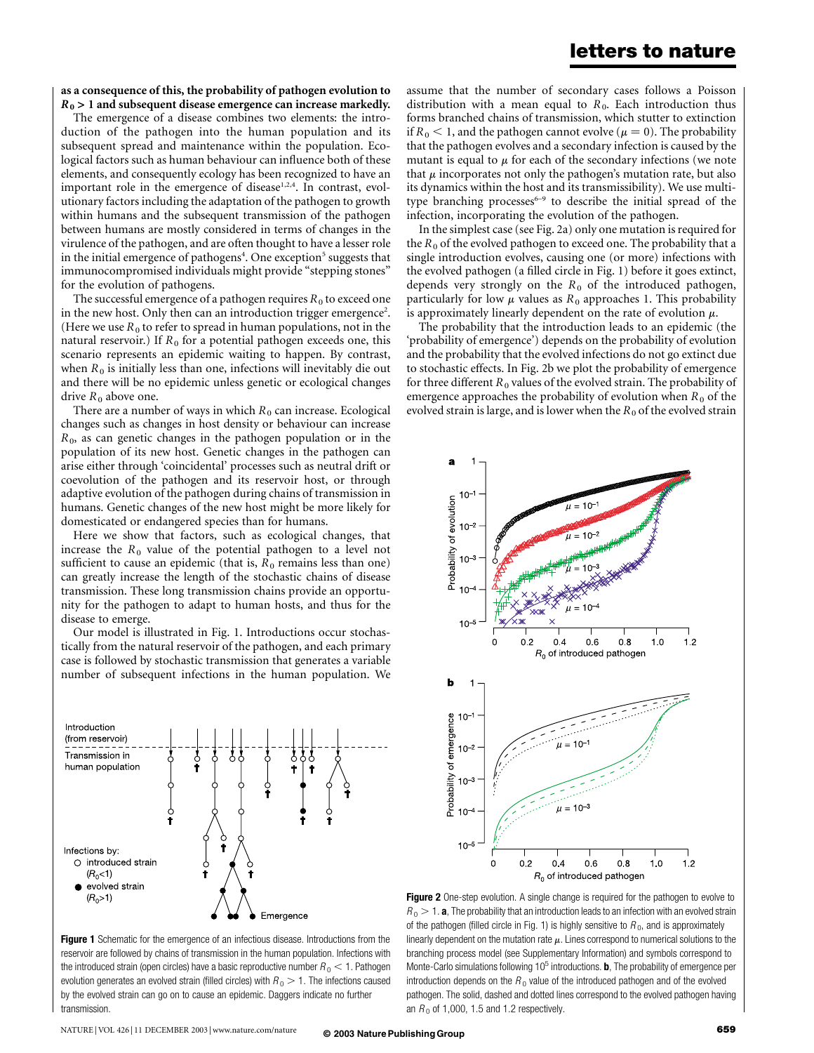### letters to nature

### as a consequence of this, the probability of pathogen evolution to  $R_0$  > 1 and subsequent disease emergence can increase markedly.

The emergence of a disease combines two elements: the introduction of the pathogen into the human population and its subsequent spread and maintenance within the population. Ecological factors such as human behaviour can influence both of these elements, and consequently ecology has been recognized to have an important role in the emergence of disease<sup>1,2,4</sup>. In contrast, evolutionary factors including the adaptation of the pathogen to growth within humans and the subsequent transmission of the pathogen between humans are mostly considered in terms of changes in the virulence of the pathogen, and are often thought to have a lesser role in the initial emergence of pathogens<sup>4</sup>. One exception<sup>5</sup> suggests that immunocompromised individuals might provide "stepping stones" for the evolution of pathogens.

The successful emergence of a pathogen requires  $R_0$  to exceed one in the new host. Only then can an introduction trigger emergence<sup>2</sup>. (Here we use  $R_0$  to refer to spread in human populations, not in the natural reservoir.) If  $R_0$  for a potential pathogen exceeds one, this scenario represents an epidemic waiting to happen. By contrast, when  $R_0$  is initially less than one, infections will inevitably die out and there will be no epidemic unless genetic or ecological changes drive  $R_0$  above one.

There are a number of ways in which  $R_0$  can increase. Ecological changes such as changes in host density or behaviour can increase  $R<sub>0</sub>$ , as can genetic changes in the pathogen population or in the population of its new host. Genetic changes in the pathogen can arise either through 'coincidental' processes such as neutral drift or coevolution of the pathogen and its reservoir host, or through adaptive evolution of the pathogen during chains of transmission in humans. Genetic changes of the new host might be more likely for domesticated or endangered species than for humans.

Here we show that factors, such as ecological changes, that increase the  $R_0$  value of the potential pathogen to a level not sufficient to cause an epidemic (that is,  $R_0$  remains less than one) can greatly increase the length of the stochastic chains of disease transmission. These long transmission chains provide an opportunity for the pathogen to adapt to human hosts, and thus for the disease to emerge.

Our model is illustrated in Fig. 1. Introductions occur stochastically from the natural reservoir of the pathogen, and each primary case is followed by stochastic transmission that generates a variable number of subsequent infections in the human population. We



**Figure 1** Schematic for the emergence of an infectious disease. Introductions from the reservoir are followed by chains of transmission in the human population. Infections with the introduced strain (open circles) have a basic reproductive number  $R_0 < 1$ . Pathogen evolution generates an evolved strain (filled circles) with  $R_0 > 1$ . The infections caused by the evolved strain can go on to cause an epidemic. Daggers indicate no further transmission.

assume that the number of secondary cases follows a Poisson distribution with a mean equal to  $R_0$ . Each introduction thus forms branched chains of transmission, which stutter to extinction if  $R_0 < 1$ , and the pathogen cannot evolve ( $\mu = 0$ ). The probability that the pathogen evolves and a secondary infection is caused by the mutant is equal to  $\mu$  for each of the secondary infections (we note that  $\mu$  incorporates not only the pathogen's mutation rate, but also its dynamics within the host and its transmissibility). We use multitype branching processes<sup>6-9</sup> to describe the initial spread of the infection, incorporating the evolution of the pathogen.

In the simplest case (see Fig. 2a) only one mutation is required for the  $R_0$  of the evolved pathogen to exceed one. The probability that a single introduction evolves, causing one (or more) infections with the evolved pathogen (a filled circle in Fig. 1) before it goes extinct, depends very strongly on the  $R_0$  of the introduced pathogen, particularly for low  $\mu$  values as  $R_0$  approaches 1. This probability is approximately linearly dependent on the rate of evolution  $\mu$ .

The probability that the introduction leads to an epidemic (the 'probability of emergence') depends on the probability of evolution and the probability that the evolved infections do not go extinct due to stochastic effects. In Fig. 2b we plot the probability of emergence for three different  $R_0$  values of the evolved strain. The probability of emergence approaches the probability of evolution when  $R_0$  of the evolved strain is large, and is lower when the  $R_0$  of the evolved strain



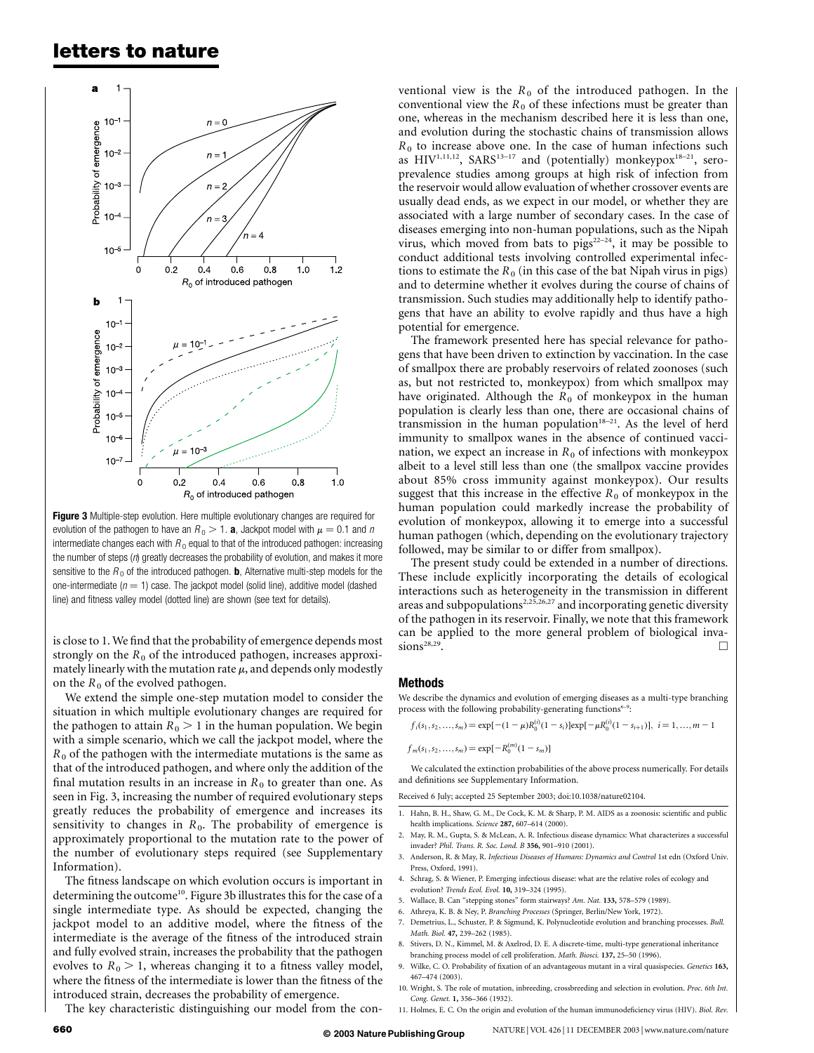### letters to nature



Figure 3 Multiple-step evolution. Here multiple evolutionary changes are required for evolution of the pathogen to have an  $R_0 > 1$ . **a**, Jackpot model with  $\mu = 0.1$  and n intermediate changes each with  $R_0$  equal to that of the introduced pathogen: increasing the number of steps  $(n)$  greatly decreases the probability of evolution, and makes it more sensitive to the  $R_0$  of the introduced pathogen. **b**, Alternative multi-step models for the one-intermediate ( $n = 1$ ) case. The jackpot model (solid line), additive model (dashed line) and fitness valley model (dotted line) are shown (see text for details).

is close to 1. We find that the probability of emergence depends most strongly on the  $R_0$  of the introduced pathogen, increases approximately linearly with the mutation rate  $\mu$ , and depends only modestly on the  $R_0$  of the evolved pathogen.

We extend the simple one-step mutation model to consider the situation in which multiple evolutionary changes are required for the pathogen to attain  $R_0 > 1$  in the human population. We begin with a simple scenario, which we call the jackpot model, where the  $R_0$  of the pathogen with the intermediate mutations is the same as that of the introduced pathogen, and where only the addition of the final mutation results in an increase in  $R_0$  to greater than one. As seen in Fig. 3, increasing the number of required evolutionary steps greatly reduces the probability of emergence and increases its sensitivity to changes in  $R_0$ . The probability of emergence is approximately proportional to the mutation rate to the power of the number of evolutionary steps required (see Supplementary Information).

The fitness landscape on which evolution occurs is important in determining the outcome<sup>10</sup>. Figure 3b illustrates this for the case of a single intermediate type. As should be expected, changing the jackpot model to an additive model, where the fitness of the intermediate is the average of the fitness of the introduced strain and fully evolved strain, increases the probability that the pathogen evolves to  $R_0 > 1$ , whereas changing it to a fitness valley model, where the fitness of the intermediate is lower than the fitness of the introduced strain, decreases the probability of emergence.

The key characteristic distinguishing our model from the con-

ventional view is the  $R_0$  of the introduced pathogen. In the conventional view the  $R_0$  of these infections must be greater than one, whereas in the mechanism described here it is less than one, and evolution during the stochastic chains of transmission allows  $R_0$  to increase above one. In the case of human infections such as  $HIV^{1,11,12}$ , SARS<sup>13-17</sup> and (potentially) monkeypox<sup>18-21</sup>, seroprevalence studies among groups at high risk of infection from the reservoir would allow evaluation of whether crossover events are usually dead ends, as we expect in our model, or whether they are associated with a large number of secondary cases. In the case of diseases emerging into non-human populations, such as the Nipah virus, which moved from bats to  $\frac{1}{2}$  pigs<sup>22-24</sup>, it may be possible to conduct additional tests involving controlled experimental infections to estimate the  $R_0$  (in this case of the bat Nipah virus in pigs) and to determine whether it evolves during the course of chains of transmission. Such studies may additionally help to identify pathogens that have an ability to evolve rapidly and thus have a high potential for emergence.

The framework presented here has special relevance for pathogens that have been driven to extinction by vaccination. In the case of smallpox there are probably reservoirs of related zoonoses (such as, but not restricted to, monkeypox) from which smallpox may have originated. Although the  $R_0$  of monkeypox in the human population is clearly less than one, there are occasional chains of transmission in the human population $18-21$ . As the level of herd immunity to smallpox wanes in the absence of continued vaccination, we expect an increase in  $R_0$  of infections with monkeypox albeit to a level still less than one (the smallpox vaccine provides about 85% cross immunity against monkeypox). Our results suggest that this increase in the effective  $R_0$  of monkeypox in the human population could markedly increase the probability of evolution of monkeypox, allowing it to emerge into a successful human pathogen (which, depending on the evolutionary trajectory followed, may be similar to or differ from smallpox).

The present study could be extended in a number of directions. These include explicitly incorporating the details of ecological interactions such as heterogeneity in the transmission in different areas and subpopulations<sup>2,25,26,27</sup> and incorporating genetic diversity of the pathogen in its reservoir. Finally, we note that this framework can be applied to the more general problem of biological inva- $\sum_{n=1}^{\infty}$  sions<sup>28,29</sup>.

#### Methods

We describe the dynamics and evolution of emerging diseases as a multi-type branching process with the following probability-generating functions<sup>6-9</sup>:

 $f_i(s_1, s_2, \ldots, s_m) = \exp[-(1 - \mu)R_0^{(i)}(1 - s_i)]\exp[-\mu R_0^{(i)}(1 - s_{i+1})], i = 1, \ldots, m - 1$ 

 $f_m(s_1, s_2, \ldots, s_m) = \exp[-R_0^{(m)}(1 - s_m)]$ 

We calculated the extinction probabilities of the above process numerically. For details and definitions see Supplementary Information.

Received 6 July; accepted 25 September 2003; doi:10.1038/nature02104.

- 1. Hahn, B. H., Shaw, G. M., De Cock, K. M. & Sharp, P. M. AIDS as a zoonosis: scientific and public health implications. Science 287, 607–614 (2000).
- 2. May, R. M., Gupta, S. & McLean, A. R. Infectious disease dynamics: What characterizes a successful invader? Phil. Trans. R. Soc. Lond. B 356, 901–910 (2001).
- 3. Anderson, R. & May, R. Infectious Diseases of Humans: Dynamics and Control 1st edn (Oxford Univ. Press, Oxford, 1991).
- 4. Schrag, S. & Wiener, P. Emerging infectious disease: what are the relative roles of ecology and evolution? Trends Ecol. Evol. 10, 319–324 (1995).
- 5. Wallace, B. Can "stepping stones" form stairways? Am. Nat. 133, 578–579 (1989).
- Athreya, K. B. & Ney, P. Branching Processes (Springer, Berlin/New York, 1972).
- 7. Demetrius, L., Schuster, P. & Sigmund, K. Polynucleotide evolution and branching processes. Bull. Math. Biol. 47, 239–262 (1985).
- 8. Stivers, D. N., Kimmel, M. & Axelrod, D. E. A discrete-time, multi-type generational inheritance branching process model of cell proliferation. Math. Biosci. 137, 25–50 (1996).
- 9. Wilke, C. O. Probability of fixation of an advantageous mutant in a viral quasispecies. Genetics 163, 467–474 (2003).
- 10. Wright, S. The role of mutation, inbreeding, crossbreeding and selection in evolution. Proc. 6th Int. Cong. Genet. 1, 356–366 (1932).
- 11. Holmes, E. C. On the origin and evolution of the human immunodeficiency virus (HIV). Biol. Rev.